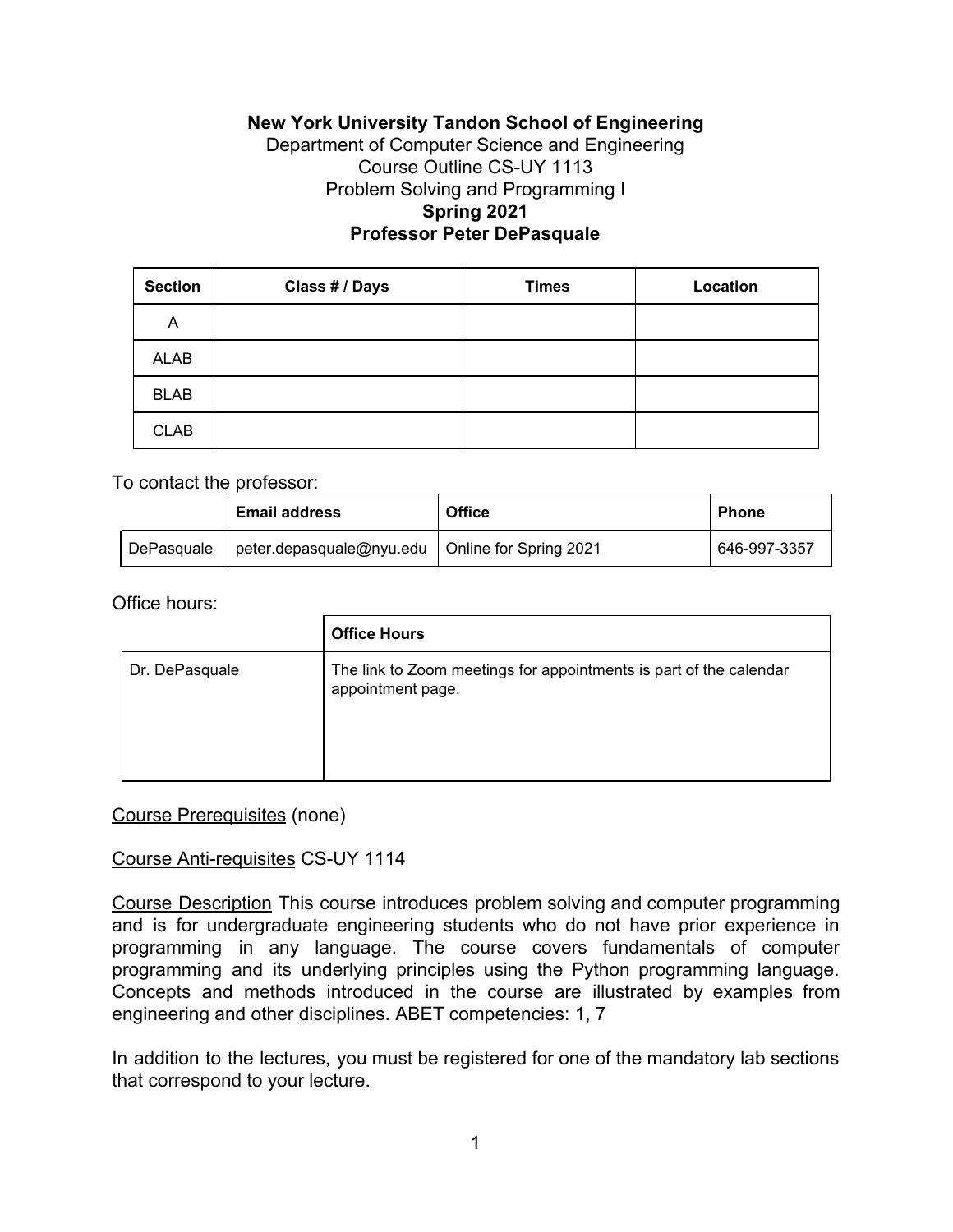# **New York University Tandon School of Engineering**

## Department of Computer Science and Engineering Course Outline CS-UY 1113 Problem Solving and Programming I **Spring 2021 Professor Peter DePasquale**

| <b>Section</b> | Class # / Days | <b>Times</b> | Location |
|----------------|----------------|--------------|----------|
| A              |                |              |          |
| <b>ALAB</b>    |                |              |          |
| <b>BLAB</b>    |                |              |          |
| <b>CLAB</b>    |                |              |          |

### To contact the professor:

|            | <b>Email address</b>                              | <b>Office</b> | <b>Phone</b> |  |
|------------|---------------------------------------------------|---------------|--------------|--|
| DePasquale | peter.depasquale@nyu.edu   Online for Spring 2021 |               | 646-997-3357 |  |

#### Office hours:

|                | <b>Office Hours</b>                                                                     |
|----------------|-----------------------------------------------------------------------------------------|
| Dr. DePasquale | The link to Zoom meetings for appointments is part of the calendar<br>appointment page. |

#### Course Prerequisites (none)

#### Course Anti-requisites CS-UY 1114

Course Description This course introduces problem solving and computer programming and is for undergraduate engineering students who do not have prior experience in programming in any language. The course covers fundamentals of computer programming and its underlying principles using the Python programming language. Concepts and methods introduced in the course are illustrated by examples from engineering and other disciplines. ABET competencies: 1, 7

In addition to the lectures, you must be registered for one of the mandatory lab sections that correspond to your lecture.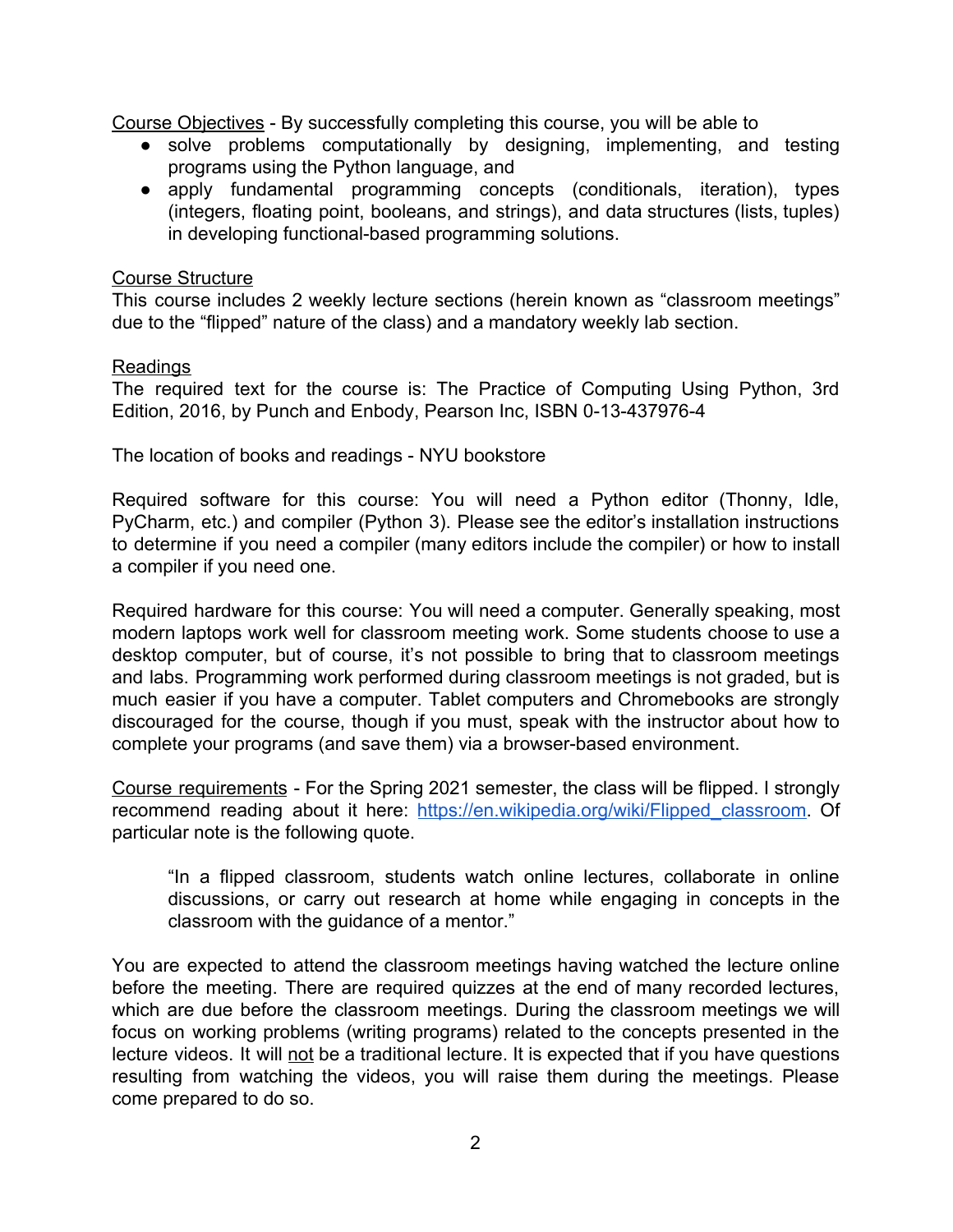Course Objectives - By successfully completing this course, you will be able to

- solve problems computationally by designing, implementing, and testing programs using the Python language, and
- apply fundamental programming concepts (conditionals, iteration), types (integers, floating point, booleans, and strings), and data structures (lists, tuples) in developing functional-based programming solutions.

## Course Structure

This course includes 2 weekly lecture sections (herein known as "classroom meetings" due to the "flipped" nature of the class) and a mandatory weekly lab section.

## **Readings**

The required text for the course is: The Practice of Computing Using Python, 3rd Edition, 2016, by Punch and Enbody, Pearson Inc, ISBN 0-13-437976-4

The location of books and readings - NYU bookstore

Required software for this course: You will need a Python editor (Thonny, Idle, PyCharm, etc.) and compiler (Python 3). Please see the editor's installation instructions to determine if you need a compiler (many editors include the compiler) or how to install a compiler if you need one.

Required hardware for this course: You will need a computer. Generally speaking, most modern laptops work well for classroom meeting work. Some students choose to use a desktop computer, but of course, it's not possible to bring that to classroom meetings and labs. Programming work performed during classroom meetings is not graded, but is much easier if you have a computer. Tablet computers and Chromebooks are strongly discouraged for the course, though if you must, speak with the instructor about how to complete your programs (and save them) via a browser-based environment.

Course requirements - For the Spring 2021 semester, the class will be flipped. I strongly recommend reading about it here: https://en.wikipedia.org/wiki/Flipped classroom. Of particular note is the following quote.

"In a flipped classroom, students watch online lectures, collaborate in online discussions, or carry out research at home while engaging in concepts in the classroom with the guidance of a mentor."

You are expected to attend the classroom meetings having watched the lecture online before the meeting. There are required quizzes at the end of many recorded lectures, which are due before the classroom meetings. During the classroom meetings we will focus on working problems (writing programs) related to the concepts presented in the lecture videos. It will not be a traditional lecture. It is expected that if you have questions resulting from watching the videos, you will raise them during the meetings. Please come prepared to do so.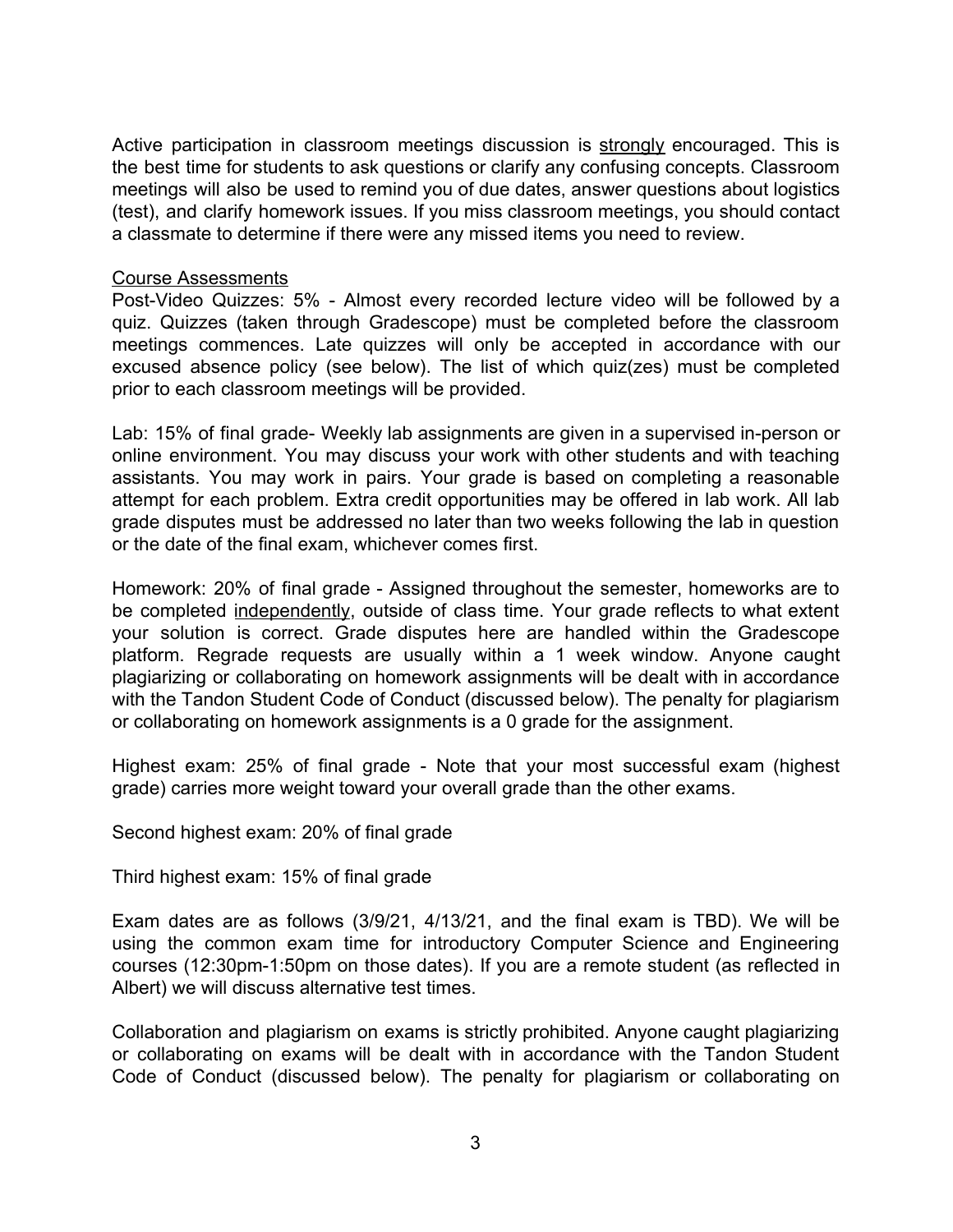Active participation in classroom meetings discussion is strongly encouraged. This is the best time for students to ask questions or clarify any confusing concepts. Classroom meetings will also be used to remind you of due dates, answer questions about logistics (test), and clarify homework issues. If you miss classroom meetings, you should contact a classmate to determine if there were any missed items you need to review.

### Course Assessments

Post-Video Quizzes: 5% - Almost every recorded lecture video will be followed by a quiz. Quizzes (taken through Gradescope) must be completed before the classroom meetings commences. Late quizzes will only be accepted in accordance with our excused absence policy (see below). The list of which quiz(zes) must be completed prior to each classroom meetings will be provided.

Lab: 15% of final grade- Weekly lab assignments are given in a supervised in-person or online environment. You may discuss your work with other students and with teaching assistants. You may work in pairs. Your grade is based on completing a reasonable attempt for each problem. Extra credit opportunities may be offered in lab work. All lab grade disputes must be addressed no later than two weeks following the lab in question or the date of the final exam, whichever comes first.

Homework: 20% of final grade - Assigned throughout the semester, homeworks are to be completed independently, outside of class time. Your grade reflects to what extent your solution is correct. Grade disputes here are handled within the Gradescope platform. Regrade requests are usually within a 1 week window. Anyone caught plagiarizing or collaborating on homework assignments will be dealt with in accordance with the Tandon Student Code of Conduct (discussed below). The penalty for plagiarism or collaborating on homework assignments is a 0 grade for the assignment.

Highest exam: 25% of final grade - Note that your most successful exam (highest grade) carries more weight toward your overall grade than the other exams.

Second highest exam: 20% of final grade

Third highest exam: 15% of final grade

Exam dates are as follows (3/9/21, 4/13/21, and the final exam is TBD). We will be using the common exam time for introductory Computer Science and Engineering courses (12:30pm-1:50pm on those dates). If you are a remote student (as reflected in Albert) we will discuss alternative test times.

Collaboration and plagiarism on exams is strictly prohibited. Anyone caught plagiarizing or collaborating on exams will be dealt with in accordance with the Tandon Student Code of Conduct (discussed below). The penalty for plagiarism or collaborating on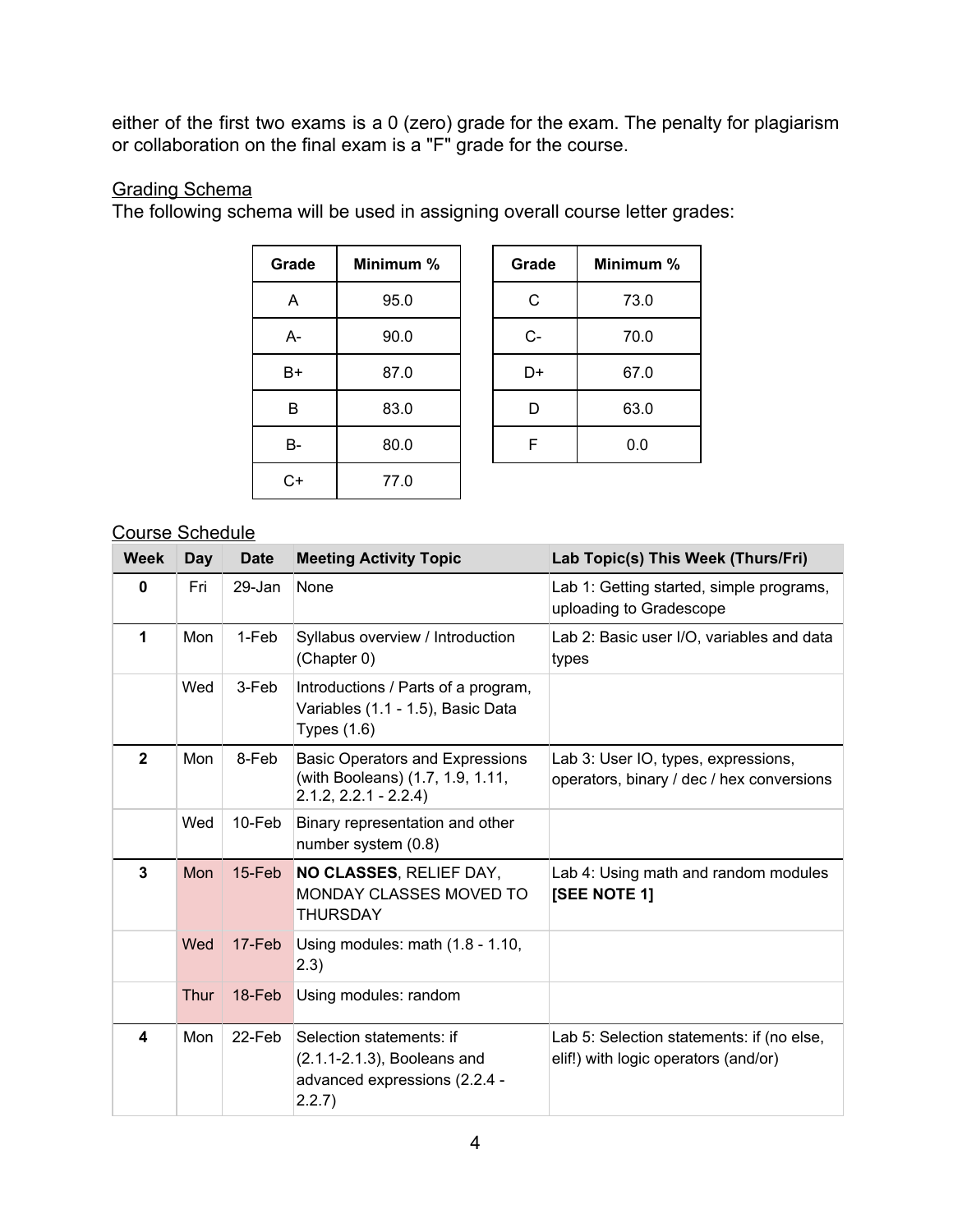either of the first two exams is a 0 (zero) grade for the exam. The penalty for plagiarism or collaboration on the final exam is a "F" grade for the course.

## Grading Schema

The following schema will be used in assigning overall course letter grades:

| Grade | Minimum % | Grade | <b>Minimun</b> |
|-------|-----------|-------|----------------|
| A     | 95.0      | C     | 73.0           |
| A-    | 90.0      | $C -$ | 70.0           |
| B+    | 87.0      | D+    | 67.0           |
| В     | 83.0      | D     | 63.0           |
| В-    | 80.0      | F     | 0.0            |
| C+    | 77.0      |       |                |

| Grade | Minimum % |  | Grade | Minimum % |  |
|-------|-----------|--|-------|-----------|--|
| A     | 95.0      |  | C     | 73.0      |  |
| А-    | 90.0      |  | $C -$ | 70.0      |  |
| B+    | 87.0      |  | D+    | 67.0      |  |
| В     | 83.0      |  | D     | 63.0      |  |
| В-    | 80.0      |  | F     | 0.0       |  |
|       |           |  |       |           |  |

## Course Schedule

| <b>Week</b>             | Day  | <b>Date</b> | <b>Meeting Activity Topic</b>                                                                        | Lab Topic(s) This Week (Thurs/Fri)                                                |
|-------------------------|------|-------------|------------------------------------------------------------------------------------------------------|-----------------------------------------------------------------------------------|
| $\mathbf{0}$            | Fri  | 29-Jan      | None                                                                                                 | Lab 1: Getting started, simple programs,<br>uploading to Gradescope               |
| 1                       | Mon  | 1-Feb       | Syllabus overview / Introduction<br>(Chapter 0)                                                      | Lab 2: Basic user I/O, variables and data<br>types                                |
|                         | Wed  | 3-Feb       | Introductions / Parts of a program,<br>Variables (1.1 - 1.5), Basic Data<br>Types $(1.6)$            |                                                                                   |
| $\overline{2}$          | Mon  | 8-Feb       | <b>Basic Operators and Expressions</b><br>(with Booleans) (1.7, 1.9, 1.11,<br>$2.1.2, 2.2.1 - 2.2.4$ | Lab 3: User IO, types, expressions,<br>operators, binary / dec / hex conversions  |
|                         | Wed  | 10-Feb      | Binary representation and other<br>number system (0.8)                                               |                                                                                   |
| $\overline{3}$          | Mon  | 15-Feb      | NO CLASSES, RELIEF DAY,<br><b>MONDAY CLASSES MOVED TO</b><br><b>THURSDAY</b>                         | Lab 4: Using math and random modules<br>[SEE NOTE 1]                              |
|                         | Wed  | 17-Feb      | Using modules: math (1.8 - 1.10,<br>(2.3)                                                            |                                                                                   |
|                         | Thur | 18-Feb      | Using modules: random                                                                                |                                                                                   |
| $\overline{\mathbf{4}}$ | Mon  | 22-Feb      | Selection statements: if<br>(2.1.1-2.1.3), Booleans and<br>advanced expressions (2.2.4 -<br>2.2.7)   | Lab 5: Selection statements: if (no else,<br>elif!) with logic operators (and/or) |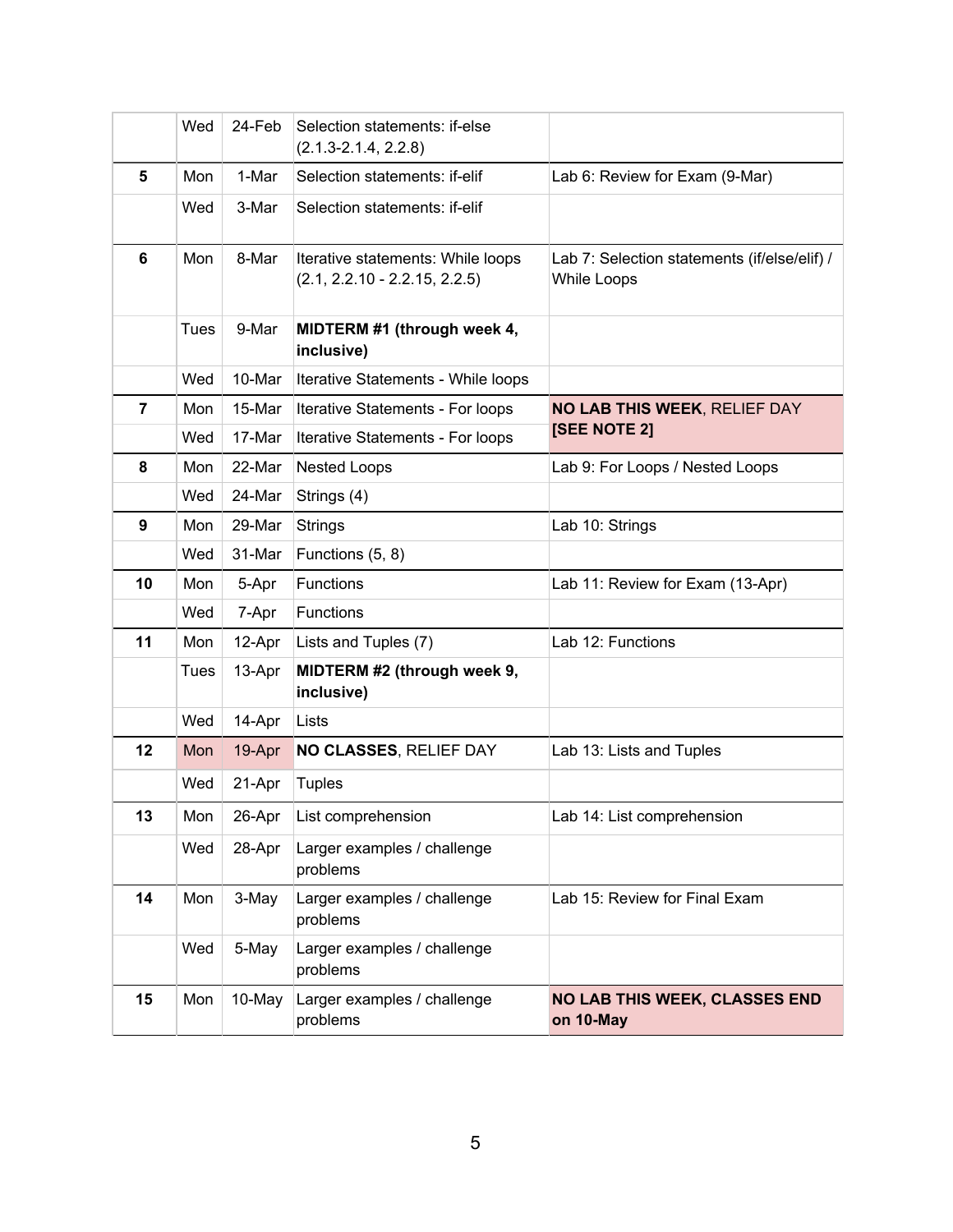|                | Wed  | 24-Feb | Selection statements: if-else<br>$(2.1.3 - 2.1.4, 2.2.8)$            |                                                             |
|----------------|------|--------|----------------------------------------------------------------------|-------------------------------------------------------------|
| 5              | Mon  | 1-Mar  | Selection statements: if-elif                                        | Lab 6: Review for Exam (9-Mar)                              |
|                | Wed  | 3-Mar  | Selection statements: if-elif                                        |                                                             |
| 6              | Mon  | 8-Mar  | Iterative statements: While loops<br>$(2.1, 2.2.10 - 2.2.15, 2.2.5)$ | Lab 7: Selection statements (if/else/elif) /<br>While Loops |
|                | Tues | 9-Mar  | MIDTERM #1 (through week 4,<br>inclusive)                            |                                                             |
|                | Wed  | 10-Mar | Iterative Statements - While loops                                   |                                                             |
| $\overline{7}$ | Mon  | 15-Mar | Iterative Statements - For loops                                     | <b>NO LAB THIS WEEK, RELIEF DAY</b>                         |
|                | Wed  | 17-Mar | Iterative Statements - For loops                                     | [SEE NOTE 2]                                                |
| 8              | Mon  | 22-Mar | <b>Nested Loops</b>                                                  | Lab 9: For Loops / Nested Loops                             |
|                | Wed  | 24-Mar | Strings (4)                                                          |                                                             |
| 9              | Mon  | 29-Mar | Strings                                                              | Lab 10: Strings                                             |
|                | Wed  | 31-Mar | Functions (5, 8)                                                     |                                                             |
| 10             | Mon  | 5-Apr  | <b>Functions</b>                                                     | Lab 11: Review for Exam (13-Apr)                            |
|                | Wed  | 7-Apr  | <b>Functions</b>                                                     |                                                             |
| 11             | Mon  | 12-Apr | Lists and Tuples (7)                                                 | Lab 12: Functions                                           |
|                | Tues | 13-Apr | MIDTERM #2 (through week 9,<br>inclusive)                            |                                                             |
|                | Wed  | 14-Apr | Lists                                                                |                                                             |
| 12             | Mon  | 19-Apr | NO CLASSES, RELIEF DAY                                               | Lab 13: Lists and Tuples                                    |
|                | Wed  | 21-Apr | <b>Tuples</b>                                                        |                                                             |
| 13             | Mon  | 26-Apr | List comprehension                                                   | Lab 14: List comprehension                                  |
|                | Wed  | 28-Apr | Larger examples / challenge<br>problems                              |                                                             |
| 14             | Mon  | 3-May  | Larger examples / challenge<br>problems                              | Lab 15: Review for Final Exam                               |
|                | Wed  | 5-May  | Larger examples / challenge<br>problems                              |                                                             |
| 15             | Mon  | 10-May | Larger examples / challenge<br>problems                              | <b>NO LAB THIS WEEK, CLASSES END</b><br>on 10-May           |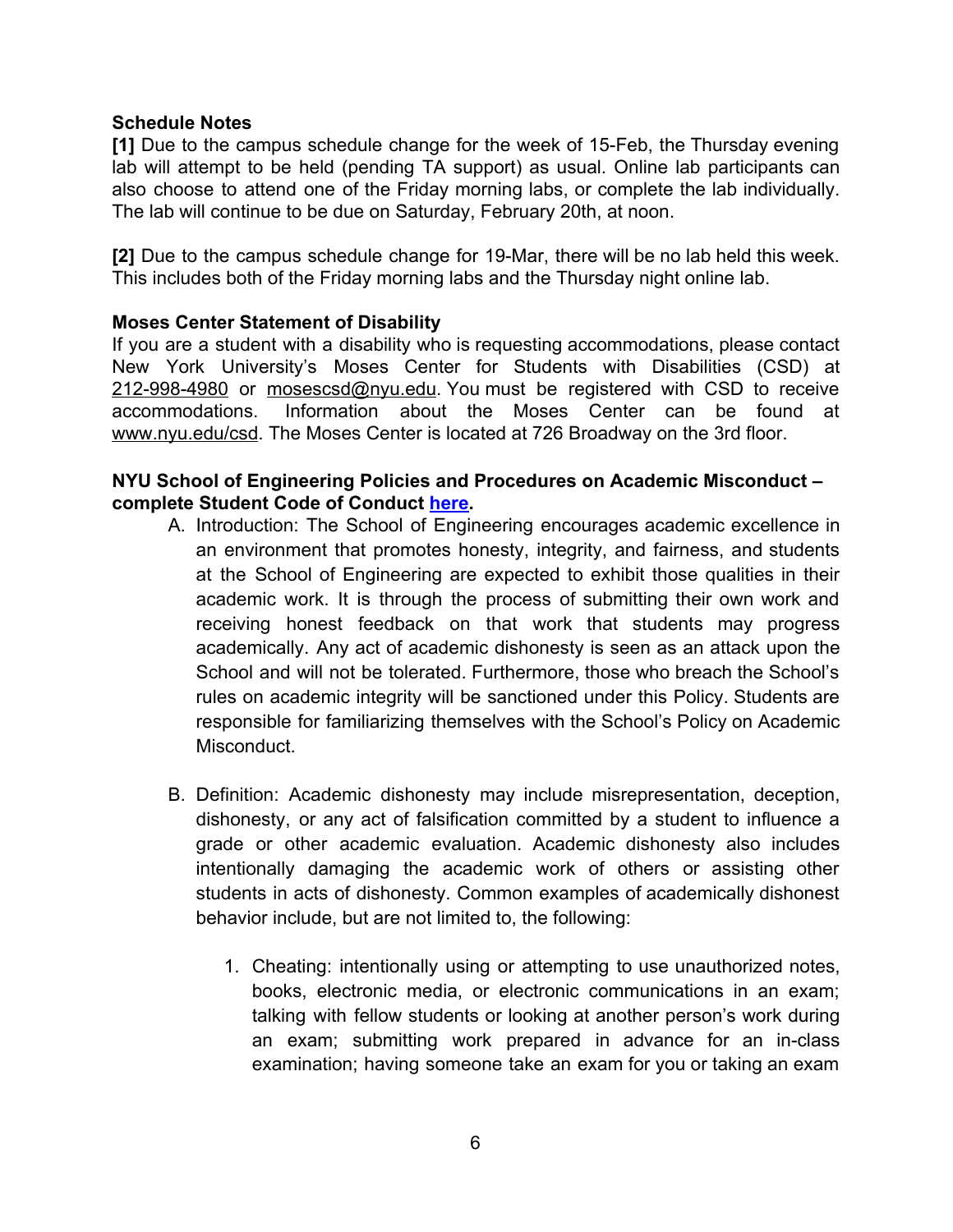### **Schedule Notes**

**[1]** Due to the campus schedule change for the week of 15-Feb, the Thursday evening lab will attempt to be held (pending TA support) as usual. Online lab participants can also choose to attend one of the Friday morning labs, or complete the lab individually. The lab will continue to be due on Saturday, February 20th, at noon.

**[2]** Due to the campus schedule change for 19-Mar, there will be no lab held this week. This includes both of the Friday morning labs and the Thursday night online lab.

## **Moses Center Statement of Disability**

If you are a student with a disability who is requesting accommodations, please contact New York University's Moses Center for Students with Disabilities (CSD) at 212-998-4980 or [mosescsd@nyu.edu](mailto:mosescsd@nyu.edu). You must be registered with CSD to receive accommodations. Information about the Moses Center can be found at [www.nyu.edu/csd](http://www.nyu.edu/csd). The Moses Center is located at 726 Broadway on the 3rd floor.

## **NYU School of Engineering Policies and Procedures on Academic Misconduct – complete Student Code of Conduct [here.](https://engineering.nyu.edu/campus-and-community/student-life/office-student-affairs/policies/student-code-conduct)**

- A. Introduction: The School of Engineering encourages academic excellence in an environment that promotes honesty, integrity, and fairness, and students at the School of Engineering are expected to exhibit those qualities in their academic work. It is through the process of submitting their own work and receiving honest feedback on that work that students may progress academically. Any act of academic dishonesty is seen as an attack upon the School and will not be tolerated. Furthermore, those who breach the School's rules on academic integrity will be sanctioned under this Policy. Students are responsible for familiarizing themselves with the School's Policy on Academic Misconduct.
- B. Definition: Academic dishonesty may include misrepresentation, deception, dishonesty, or any act of falsification committed by a student to influence a grade or other academic evaluation. Academic dishonesty also includes intentionally damaging the academic work of others or assisting other students in acts of dishonesty. Common examples of academically dishonest behavior include, but are not limited to, the following:
	- 1. Cheating: intentionally using or attempting to use unauthorized notes, books, electronic media, or electronic communications in an exam; talking with fellow students or looking at another person's work during an exam; submitting work prepared in advance for an in-class examination; having someone take an exam for you or taking an exam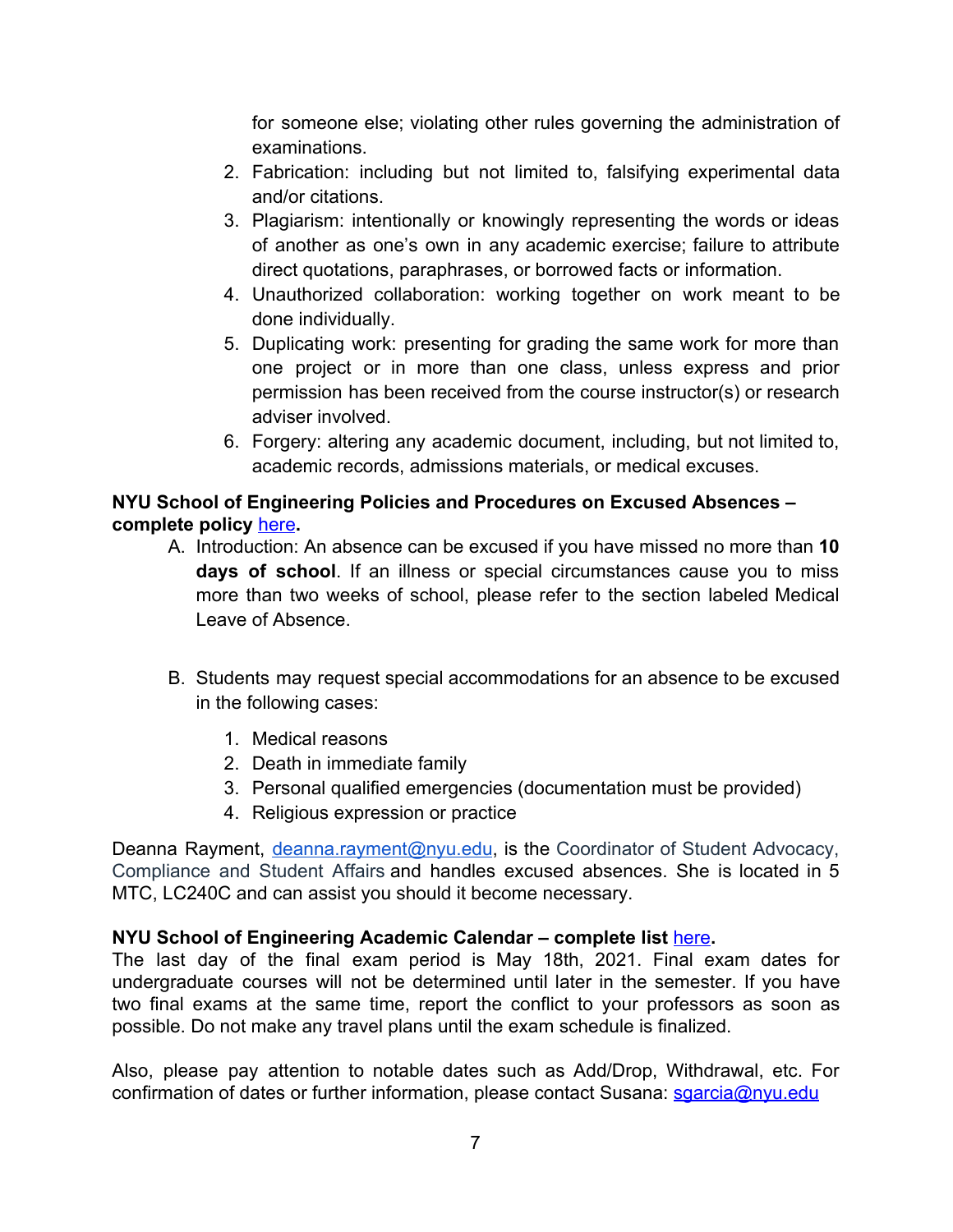for someone else; violating other rules governing the administration of examinations.

- 2. Fabrication: including but not limited to, falsifying experimental data and/or citations.
- 3. Plagiarism: intentionally or knowingly representing the words or ideas of another as one's own in any academic exercise; failure to attribute direct quotations, paraphrases, or borrowed facts or information.
- 4. Unauthorized collaboration: working together on work meant to be done individually.
- 5. Duplicating work: presenting for grading the same work for more than one project or in more than one class, unless express and prior permission has been received from the course instructor(s) or research adviser involved.
- 6. Forgery: altering any academic document, including, but not limited to, academic records, admissions materials, or medical excuses.

# **NYU School of Engineering Policies and Procedures on Excused Absences – complete policy** [here](https://engineering.nyu.edu/campus-and-community/student-life/office-student-affairs/policies#chapter-id-30199)**.**

- A. Introduction: An absence can be excused if you have missed no more than **10 days of school**. If an illness or special circumstances cause you to miss more than two weeks of school, please refer to the section labeled Medical Leave of Absence.
- B. Students may request special accommodations for an absence to be excused in the following cases:
	- 1. Medical reasons
	- 2. Death in immediate family
	- 3. Personal qualified emergencies (documentation must be provided)
	- 4. Religious expression or practice

Deanna Rayment, [deanna.rayment@nyu.edu](mailto:deanna.rayment@nyu.edu), is the Coordinator of Student Advocacy, Compliance and Student Affairs and handles excused absences. She is located in 5 MTC, LC240C and can assist you should it become necessary.

# **NYU School of Engineering Academic Calendar – complete list** [here](https://www.nyu.edu/registrar/calendars/university-academic-calendar.html)**.**

The last day of the final exam period is May 18th, 2021. Final exam dates for undergraduate courses will not be determined until later in the semester. If you have two final exams at the same time, report the conflict to your professors as soon as possible. Do not make any travel plans until the exam schedule is finalized.

Also, please pay attention to notable dates such as Add/Drop, Withdrawal, etc. For confirmation of dates or further information, please contact Susana: [sgarcia@nyu.edu](mailto:sgarcia@nyu.edu)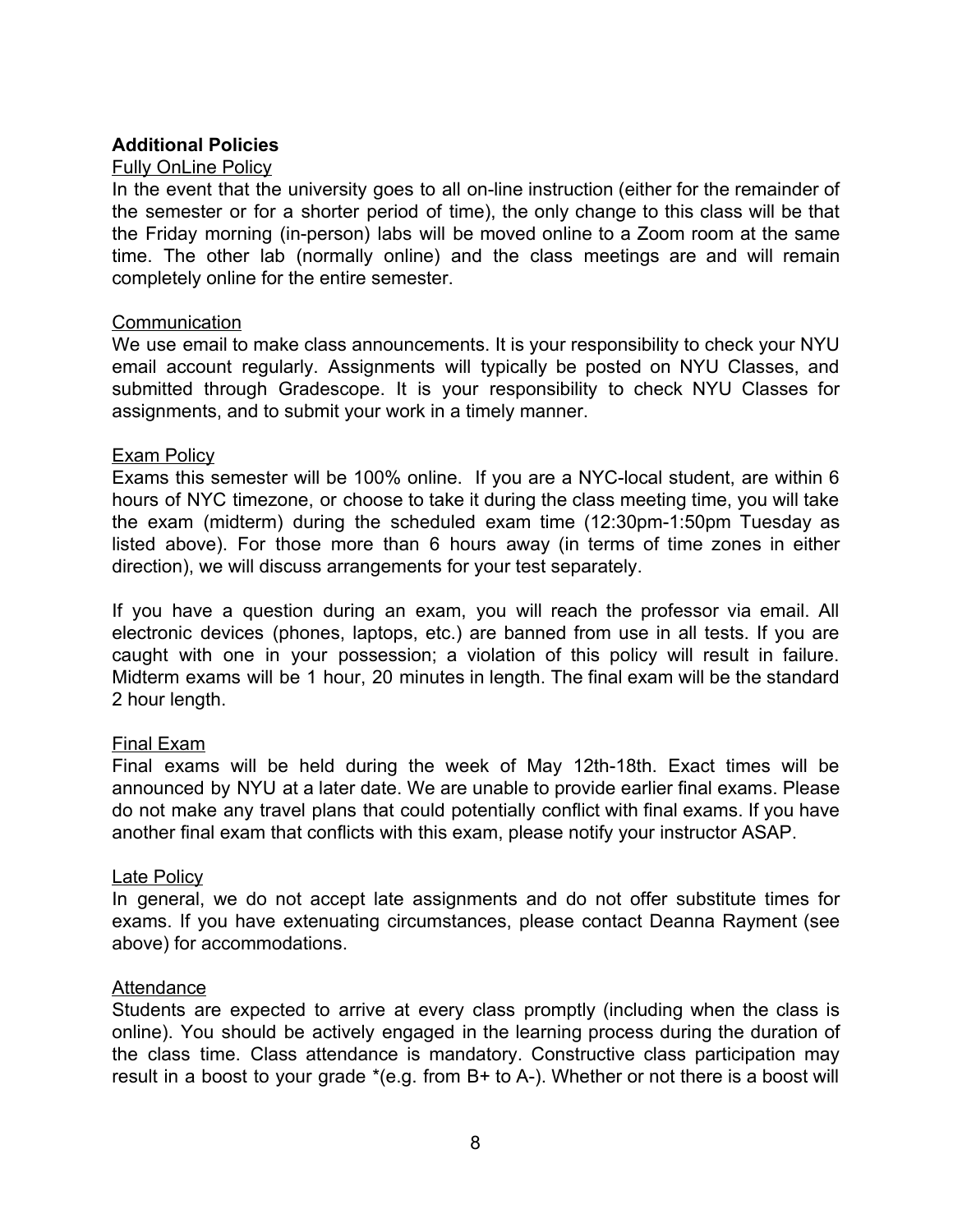### **Additional Policies**

### Fully OnLine Policy

In the event that the university goes to all on-line instruction (either for the remainder of the semester or for a shorter period of time), the only change to this class will be that the Friday morning (in-person) labs will be moved online to a Zoom room at the same time. The other lab (normally online) and the class meetings are and will remain completely online for the entire semester.

#### **Communication**

We use email to make class announcements. It is your responsibility to check your NYU email account regularly. Assignments will typically be posted on NYU Classes, and submitted through Gradescope. It is your responsibility to check NYU Classes for assignments, and to submit your work in a timely manner.

### Exam Policy

Exams this semester will be 100% online. If you are a NYC-local student, are within 6 hours of NYC timezone, or choose to take it during the class meeting time, you will take the exam (midterm) during the scheduled exam time (12:30pm-1:50pm Tuesday as listed above). For those more than 6 hours away (in terms of time zones in either direction), we will discuss arrangements for your test separately.

If you have a question during an exam, you will reach the professor via email. All electronic devices (phones, laptops, etc.) are banned from use in all tests. If you are caught with one in your possession; a violation of this policy will result in failure. Midterm exams will be 1 hour, 20 minutes in length. The final exam will be the standard 2 hour length.

### Final Exam

Final exams will be held during the week of May 12th-18th. Exact times will be announced by NYU at a later date. We are unable to provide earlier final exams. Please do not make any travel plans that could potentially conflict with final exams. If you have another final exam that conflicts with this exam, please notify your instructor ASAP.

#### Late Policy

In general, we do not accept late assignments and do not offer substitute times for exams. If you have extenuating circumstances, please contact Deanna Rayment (see above) for accommodations.

#### **Attendance**

Students are expected to arrive at every class promptly (including when the class is online). You should be actively engaged in the learning process during the duration of the class time. Class attendance is mandatory. Constructive class participation may result in a boost to your grade  $*(e.g.$  from B+ to A-). Whether or not there is a boost will